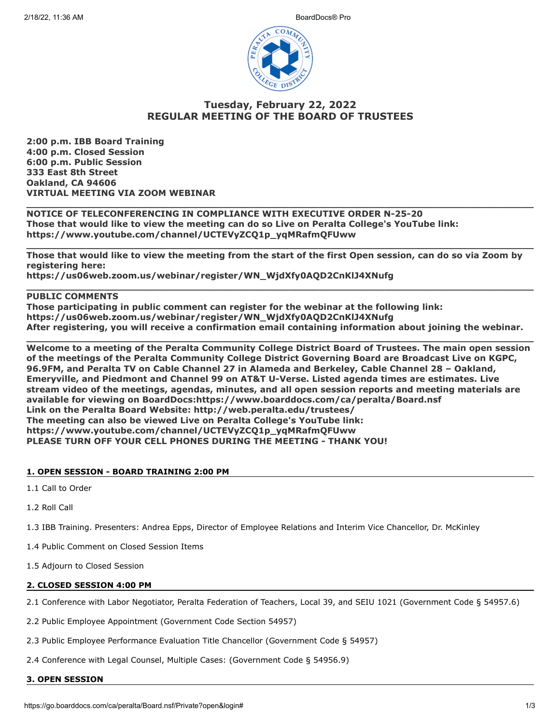

# **Tuesday, February 22, 2022 REGULAR MEETING OF THE BOARD OF TRUSTEES**

**2:00 p.m. IBB Board Training 4:00 p.m. Closed Session 6:00 p.m. Public Session 333 East 8th Street Oakland, CA 94606 VIRTUAL MEETING VIA ZOOM WEBINAR**

**NOTICE OF TELECONFERENCING IN COMPLIANCE WITH EXECUTIVE ORDER N-25-20 Those that would like to view the meeting can do so Live on Peralta College's YouTube link: https://www.youtube.com/channel/UCTEVyZCQ1p\_yqMRafmQFUww**

**Those that would like to view the meeting from the start of the first Open session, can do so via Zoom by registering here:** 

**\_\_\_\_\_\_\_\_\_\_\_\_\_\_\_\_\_\_\_\_\_\_\_\_\_\_\_\_\_\_\_\_\_\_\_\_\_\_\_\_\_\_\_\_\_\_\_\_\_\_\_\_\_\_\_\_\_\_\_\_\_\_\_\_\_\_\_\_\_\_\_\_\_\_\_\_\_\_\_\_\_\_\_\_\_**

**\_\_\_\_\_\_\_\_\_\_\_\_\_\_\_\_\_\_\_\_\_\_\_\_\_\_\_\_\_\_\_\_\_\_\_\_\_\_\_\_\_\_\_\_\_\_\_\_\_\_\_\_\_\_\_\_\_\_\_\_\_\_\_\_\_\_\_\_\_\_\_\_\_\_\_\_\_\_\_\_\_\_\_\_\_**

**\_\_\_\_\_\_\_\_\_\_\_\_\_\_\_\_\_\_\_\_\_\_\_\_\_\_\_\_\_\_\_\_\_\_\_\_\_\_\_\_\_\_\_\_\_\_\_\_\_\_\_\_\_\_\_\_\_\_\_\_\_\_\_\_\_\_\_\_\_\_\_\_\_\_\_\_\_\_\_\_\_\_\_\_\_**

**https://us06web.zoom.us/webinar/register/WN\_WjdXfy0AQD2CnKlJ4XNufg**

## **PUBLIC COMMENTS**

**Those participating in public comment can register for the webinar at the following link: https://us06web.zoom.us/webinar/register/WN\_WjdXfy0AQD2CnKlJ4XNufg After registering, you will receive a confirmation email containing information about joining the webinar.**

**\_\_\_\_\_\_\_\_\_\_\_\_\_\_\_\_\_\_\_\_\_\_\_\_\_\_\_\_\_\_\_\_\_\_\_\_\_\_\_\_\_\_\_\_\_\_\_\_\_\_\_\_\_\_\_\_\_\_\_\_\_\_\_\_\_\_\_\_\_\_\_\_\_\_\_\_\_\_\_\_\_\_\_\_\_**

**Welcome to a meeting of the Peralta Community College District Board of Trustees. The main open session of the meetings of the Peralta Community College District Governing Board are Broadcast Live on KGPC, 96.9FM, and Peralta TV on Cable Channel 27 in Alameda and Berkeley, Cable Channel 28 – Oakland, Emeryville, and Piedmont and Channel 99 on AT&T U-Verse. Listed agenda times are estimates. Live stream video of the meetings, agendas, minutes, and all open session reports and meeting materials are available for viewing on BoardDocs:https://www.boarddocs.com/ca/peralta/Board.nsf Link on the Peralta Board Website: http://web.peralta.edu/trustees/ The meeting can also be viewed Live on Peralta College's YouTube link: https://www.youtube.com/channel/UCTEVyZCQ1p\_yqMRafmQFUww PLEASE TURN OFF YOUR CELL PHONES DURING THE MEETING - THANK YOU!**

## **1. OPEN SESSION - BOARD TRAINING 2:00 PM**

- 1.1 Call to Order
- 1.2 Roll Call

1.3 IBB Training. Presenters: Andrea Epps, Director of Employee Relations and Interim Vice Chancellor, Dr. McKinley

1.4 Public Comment on Closed Session Items

1.5 Adjourn to Closed Session

## **2. CLOSED SESSION 4:00 PM**

2.1 Conference with Labor Negotiator, Peralta Federation of Teachers, Local 39, and SEIU 1021 (Government Code § 54957.6)

2.2 Public Employee Appointment (Government Code Section 54957)

2.3 Public Employee Performance Evaluation Title Chancellor (Government Code § 54957)

2.4 Conference with Legal Counsel, Multiple Cases: (Government Code § 54956.9)

### **3. OPEN SESSION**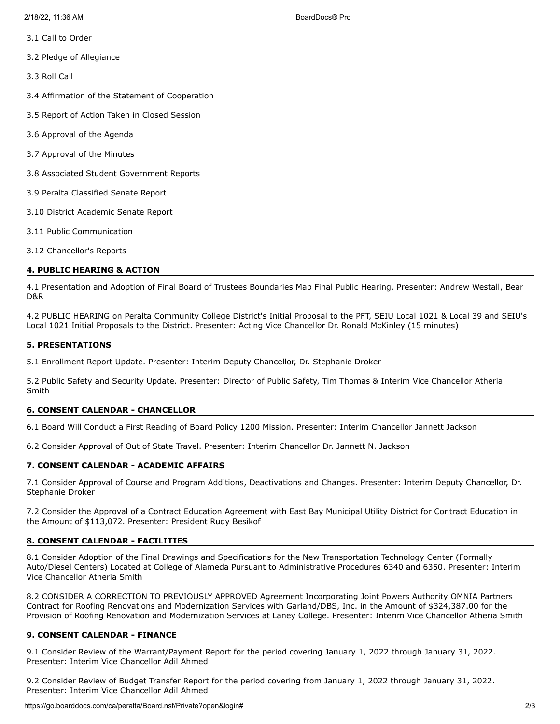- 3.2 Pledge of Allegiance
- 3.3 Roll Call
- 3.4 Affirmation of the Statement of Cooperation
- 3.5 Report of Action Taken in Closed Session
- 3.6 Approval of the Agenda
- 3.7 Approval of the Minutes
- 3.8 Associated Student Government Reports
- 3.9 Peralta Classified Senate Report
- 3.10 District Academic Senate Report
- 3.11 Public Communication
- 3.12 Chancellor's Reports

## **4. PUBLIC HEARING & ACTION**

4.1 Presentation and Adoption of Final Board of Trustees Boundaries Map Final Public Hearing. Presenter: Andrew Westall, Bear D&R

4.2 PUBLIC HEARING on Peralta Community College District's Initial Proposal to the PFT, SEIU Local 1021 & Local 39 and SEIU's Local 1021 Initial Proposals to the District. Presenter: Acting Vice Chancellor Dr. Ronald McKinley (15 minutes)

## **5. PRESENTATIONS**

5.1 Enrollment Report Update. Presenter: Interim Deputy Chancellor, Dr. Stephanie Droker

5.2 Public Safety and Security Update. Presenter: Director of Public Safety, Tim Thomas & Interim Vice Chancellor Atheria Smith

## **6. CONSENT CALENDAR - CHANCELLOR**

6.1 Board Will Conduct a First Reading of Board Policy 1200 Mission. Presenter: Interim Chancellor Jannett Jackson

6.2 Consider Approval of Out of State Travel. Presenter: Interim Chancellor Dr. Jannett N. Jackson

# **7. CONSENT CALENDAR - ACADEMIC AFFAIRS**

7.1 Consider Approval of Course and Program Additions, Deactivations and Changes. Presenter: Interim Deputy Chancellor, Dr. Stephanie Droker

7.2 Consider the Approval of a Contract Education Agreement with East Bay Municipal Utility District for Contract Education in the Amount of \$113,072. Presenter: President Rudy Besikof

# **8. CONSENT CALENDAR - FACILITIES**

8.1 Consider Adoption of the Final Drawings and Specifications for the New Transportation Technology Center (Formally Auto/Diesel Centers) Located at College of Alameda Pursuant to Administrative Procedures 6340 and 6350. Presenter: Interim Vice Chancellor Atheria Smith

8.2 CONSIDER A CORRECTION TO PREVIOUSLY APPROVED Agreement Incorporating Joint Powers Authority OMNIA Partners Contract for Roofing Renovations and Modernization Services with Garland/DBS, Inc. in the Amount of \$324,387.00 for the Provision of Roofing Renovation and Modernization Services at Laney College. Presenter: Interim Vice Chancellor Atheria Smith

## **9. CONSENT CALENDAR - FINANCE**

9.1 Consider Review of the Warrant/Payment Report for the period covering January 1, 2022 through January 31, 2022. Presenter: Interim Vice Chancellor Adil Ahmed

9.2 Consider Review of Budget Transfer Report for the period covering from January 1, 2022 through January 31, 2022. Presenter: Interim Vice Chancellor Adil Ahmed